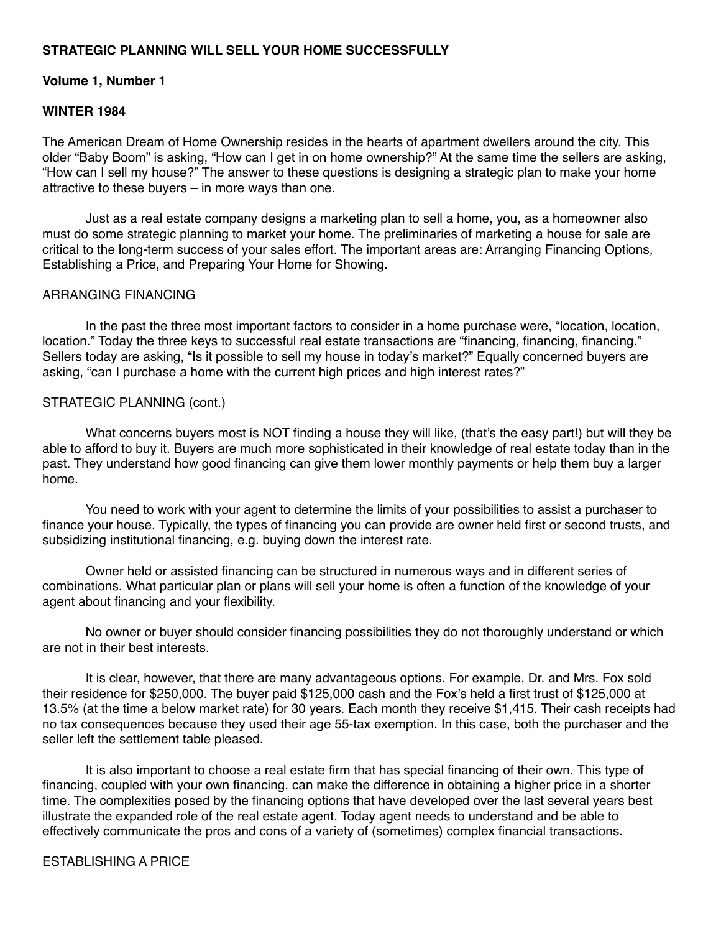## **STRATEGIC PLANNING WILL SELL YOUR HOME SUCCESSFULLY**

### **Volume 1, Number 1**

## **WINTER 1984**

The American Dream of Home Ownership resides in the hearts of apartment dwellers around the city. This older "Baby Boom" is asking, "How can I get in on home ownership?" At the same time the sellers are asking, "How can I sell my house?" The answer to these questions is designing a strategic plan to make your home attractive to these buyers – in more ways than one.

 Just as a real estate company designs a marketing plan to sell a home, you, as a homeowner also must do some strategic planning to market your home. The preliminaries of marketing a house for sale are critical to the long-term success of your sales effort. The important areas are: Arranging Financing Options, Establishing a Price, and Preparing Your Home for Showing.

## ARRANGING FINANCING

 In the past the three most important factors to consider in a home purchase were, "location, location, location." Today the three keys to successful real estate transactions are "financing, financing, financing." Sellers today are asking, "Is it possible to sell my house in today's market?" Equally concerned buyers are asking, "can I purchase a home with the current high prices and high interest rates?"

#### STRATEGIC PLANNING (cont.)

What concerns buyers most is NOT finding a house they will like, (that's the easy part!) but will they be able to afford to buy it. Buyers are much more sophisticated in their knowledge of real estate today than in the past. They understand how good financing can give them lower monthly payments or help them buy a larger home.

 You need to work with your agent to determine the limits of your possibilities to assist a purchaser to finance your house. Typically, the types of financing you can provide are owner held first or second trusts, and subsidizing institutional financing, e.g. buying down the interest rate.

 Owner held or assisted financing can be structured in numerous ways and in different series of combinations. What particular plan or plans will sell your home is often a function of the knowledge of your agent about financing and your flexibility.

 No owner or buyer should consider financing possibilities they do not thoroughly understand or which are not in their best interests.

 It is clear, however, that there are many advantageous options. For example, Dr. and Mrs. Fox sold their residence for \$250,000. The buyer paid \$125,000 cash and the Fox's held a first trust of \$125,000 at 13.5% (at the time a below market rate) for 30 years. Each month they receive \$1,415. Their cash receipts had no tax consequences because they used their age 55-tax exemption. In this case, both the purchaser and the seller left the settlement table pleased.

 It is also important to choose a real estate firm that has special financing of their own. This type of financing, coupled with your own financing, can make the difference in obtaining a higher price in a shorter time. The complexities posed by the financing options that have developed over the last several years best illustrate the expanded role of the real estate agent. Today agent needs to understand and be able to effectively communicate the pros and cons of a variety of (sometimes) complex financial transactions.

## ESTABLISHING A PRICE